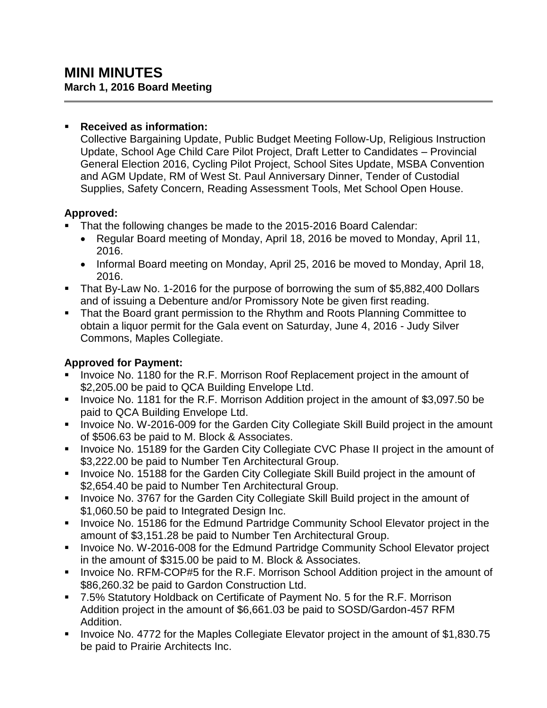#### **Received as information:**

Collective Bargaining Update, Public Budget Meeting Follow-Up, Religious Instruction Update, School Age Child Care Pilot Project, Draft Letter to Candidates – Provincial General Election 2016, Cycling Pilot Project, School Sites Update, MSBA Convention and AGM Update, RM of West St. Paul Anniversary Dinner, Tender of Custodial Supplies, Safety Concern, Reading Assessment Tools, Met School Open House.

## **Approved:**

- That the following changes be made to the 2015-2016 Board Calendar:
	- Regular Board meeting of Monday, April 18, 2016 be moved to Monday, April 11, 2016.
	- Informal Board meeting on Monday, April 25, 2016 be moved to Monday, April 18, 2016.
- That By-Law No. 1-2016 for the purpose of borrowing the sum of \$5,882,400 Dollars and of issuing a Debenture and/or Promissory Note be given first reading.
- That the Board grant permission to the Rhythm and Roots Planning Committee to obtain a liquor permit for the Gala event on Saturday, June 4, 2016 - Judy Silver Commons, Maples Collegiate.

# **Approved for Payment:**

- Invoice No. 1180 for the R.F. Morrison Roof Replacement project in the amount of \$2,205.00 be paid to QCA Building Envelope Ltd.
- Invoice No. 1181 for the R.F. Morrison Addition project in the amount of \$3,097.50 be paid to QCA Building Envelope Ltd.
- **IDED** Invoice No. W-2016-009 for the Garden City Collegiate Skill Build project in the amount of \$506.63 be paid to M. Block & Associates.
- Invoice No. 15189 for the Garden City Collegiate CVC Phase II project in the amount of \$3,222.00 be paid to Number Ten Architectural Group.
- **Invoice No. 15188 for the Garden City Collegiate Skill Build project in the amount of** \$2,654.40 be paid to Number Ten Architectural Group.
- **Invoice No. 3767 for the Garden City Collegiate Skill Build project in the amount of** \$1,060.50 be paid to Integrated Design Inc.
- **Invoice No. 15186 for the Edmund Partridge Community School Elevator project in the** amount of \$3,151.28 be paid to Number Ten Architectural Group.
- **Invoice No. W-2016-008 for the Edmund Partridge Community School Elevator project** in the amount of \$315.00 be paid to M. Block & Associates.
- **IDED** 10. RFM-COP#5 for the R.F. Morrison School Addition project in the amount of \$86,260.32 be paid to Gardon Construction Ltd.
- 7.5% Statutory Holdback on Certificate of Payment No. 5 for the R.F. Morrison Addition project in the amount of \$6,661.03 be paid to SOSD/Gardon-457 RFM Addition.
- Invoice No. 4772 for the Maples Collegiate Elevator project in the amount of \$1,830.75 be paid to Prairie Architects Inc.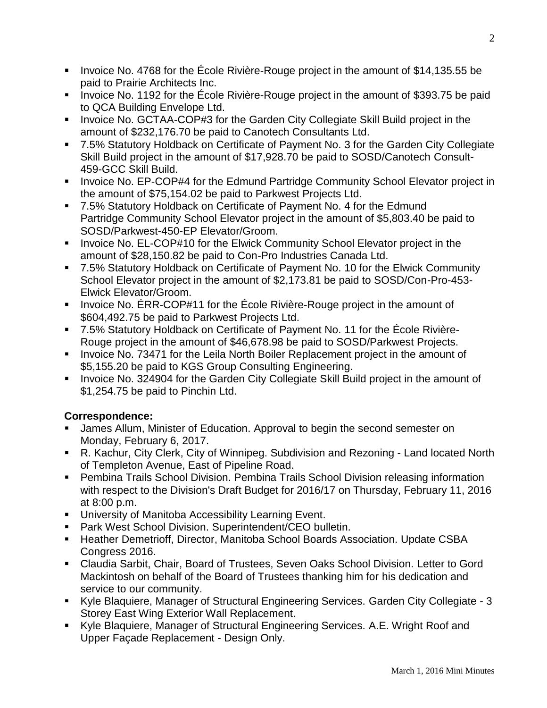- Invoice No. 4768 for the Ecole Rivière-Rouge project in the amount of \$14,135.55 be paid to Prairie Architects Inc.
- Invoice No. 1192 for the École Rivière-Rouge project in the amount of \$393.75 be paid to QCA Building Envelope Ltd.
- Invoice No. GCTAA-COP#3 for the Garden City Collegiate Skill Build project in the amount of \$232,176.70 be paid to Canotech Consultants Ltd.
- 7.5% Statutory Holdback on Certificate of Payment No. 3 for the Garden City Collegiate Skill Build project in the amount of \$17,928.70 be paid to SOSD/Canotech Consult-459-GCC Skill Build.
- **IDED** Invoice No. EP-COP#4 for the Edmund Partridge Community School Elevator project in the amount of \$75,154.02 be paid to Parkwest Projects Ltd.
- 7.5% Statutory Holdback on Certificate of Payment No. 4 for the Edmund Partridge Community School Elevator project in the amount of \$5,803.40 be paid to SOSD/Parkwest-450-EP Elevator/Groom.
- **IDED** 10. EL-COP#10 for the Elwick Community School Elevator project in the amount of \$28,150.82 be paid to Con-Pro Industries Canada Ltd.
- 7.5% Statutory Holdback on Certificate of Payment No. 10 for the Elwick Community School Elevator project in the amount of \$2,173.81 be paid to SOSD/Con-Pro-453- Elwick Elevator/Groom.
- Invoice No. ERR-COP#11 for the Ecole Rivière-Rouge project in the amount of \$604,492.75 be paid to Parkwest Projects Ltd.
- 7.5% Statutory Holdback on Certificate of Payment No. 11 for the École Rivière-Rouge project in the amount of \$46,678.98 be paid to SOSD/Parkwest Projects.
- **Invoice No. 73471 for the Leila North Boiler Replacement project in the amount of** \$5,155.20 be paid to KGS Group Consulting Engineering.
- **Invoice No. 324904 for the Garden City Collegiate Skill Build project in the amount of** \$1,254.75 be paid to Pinchin Ltd.

### **Correspondence:**

- James Allum, Minister of Education. Approval to begin the second semester on Monday, February 6, 2017.
- R. Kachur, City Clerk, City of Winnipeg. Subdivision and Rezoning Land located North of Templeton Avenue, East of Pipeline Road.
- Pembina Trails School Division. Pembina Trails School Division releasing information with respect to the Division's Draft Budget for 2016/17 on Thursday, February 11, 2016 at 8:00 p.m.
- **University of Manitoba Accessibility Learning Event.**
- Park West School Division. Superintendent/CEO bulletin.
- **Heather Demetrioff, Director, Manitoba School Boards Association. Update CSBA** Congress 2016.
- Claudia Sarbit, Chair, Board of Trustees, Seven Oaks School Division. Letter to Gord Mackintosh on behalf of the Board of Trustees thanking him for his dedication and service to our community.
- Kyle Blaquiere, Manager of Structural Engineering Services. Garden City Collegiate 3 Storey East Wing Exterior Wall Replacement.
- Kyle Blaquiere, Manager of Structural Engineering Services. A.E. Wright Roof and Upper Façade Replacement - Design Only.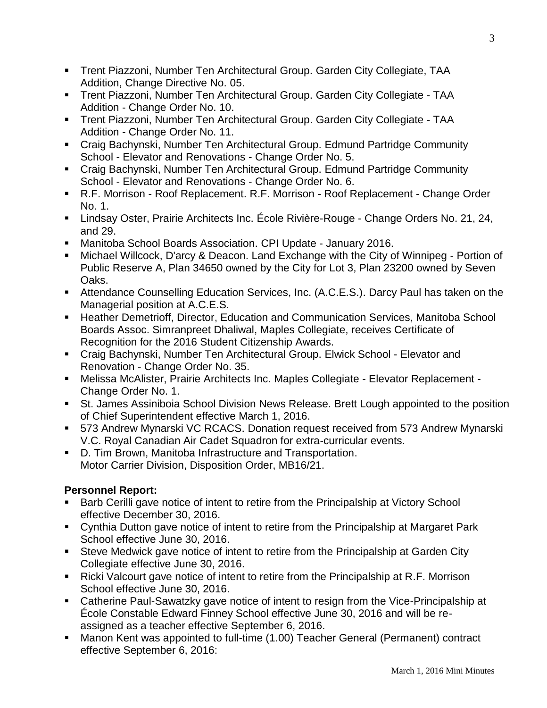- Trent Piazzoni, Number Ten Architectural Group. Garden City Collegiate, TAA Addition, Change Directive No. 05.
- Trent Piazzoni, Number Ten Architectural Group. Garden City Collegiate TAA Addition - Change Order No. 10.
- Trent Piazzoni, Number Ten Architectural Group. Garden City Collegiate TAA Addition - Change Order No. 11.
- Craig Bachynski, Number Ten Architectural Group. Edmund Partridge Community School - Elevator and Renovations - Change Order No. 5.
- Craig Bachynski, Number Ten Architectural Group. Edmund Partridge Community School - Elevator and Renovations - Change Order No. 6.
- R.F. Morrison Roof Replacement. R.F. Morrison Roof Replacement Change Order No. 1.
- Lindsay Oster, Prairie Architects Inc. École Rivière-Rouge Change Orders No. 21, 24, and 29.
- Manitoba School Boards Association. CPI Update January 2016.
- Michael Willcock, D'arcy & Deacon. Land Exchange with the City of Winnipeg Portion of Public Reserve A, Plan 34650 owned by the City for Lot 3, Plan 23200 owned by Seven Oaks.
- Attendance Counselling Education Services, Inc. (A.C.E.S.). Darcy Paul has taken on the Managerial position at A.C.E.S.
- **Heather Demetrioff, Director, Education and Communication Services, Manitoba School** Boards Assoc. Simranpreet Dhaliwal, Maples Collegiate, receives Certificate of Recognition for the 2016 Student Citizenship Awards.
- Craig Bachynski, Number Ten Architectural Group. Elwick School Elevator and Renovation - Change Order No. 35.
- Melissa McAlister, Prairie Architects Inc. Maples Collegiate Elevator Replacement Change Order No. 1.
- St. James Assiniboia School Division News Release. Brett Lough appointed to the position of Chief Superintendent effective March 1, 2016.
- 573 Andrew Mynarski VC RCACS. Donation request received from 573 Andrew Mynarski V.C. Royal Canadian Air Cadet Squadron for extra-curricular events.
- D. Tim Brown, Manitoba Infrastructure and Transportation. Motor Carrier Division, Disposition Order, MB16/21.

### **Personnel Report:**

- **Barb Cerilli gave notice of intent to retire from the Principalship at Victory School** effective December 30, 2016.
- Cynthia Dutton gave notice of intent to retire from the Principalship at Margaret Park School effective June 30, 2016.
- Steve Medwick gave notice of intent to retire from the Principalship at Garden City Collegiate effective June 30, 2016.
- Ricki Valcourt gave notice of intent to retire from the Principalship at R.F. Morrison School effective June 30, 2016.
- Catherine Paul-Sawatzky gave notice of intent to resign from the Vice-Principalship at École Constable Edward Finney School effective June 30, 2016 and will be reassigned as a teacher effective September 6, 2016.
- Manon Kent was appointed to full-time (1.00) Teacher General (Permanent) contract effective September 6, 2016: